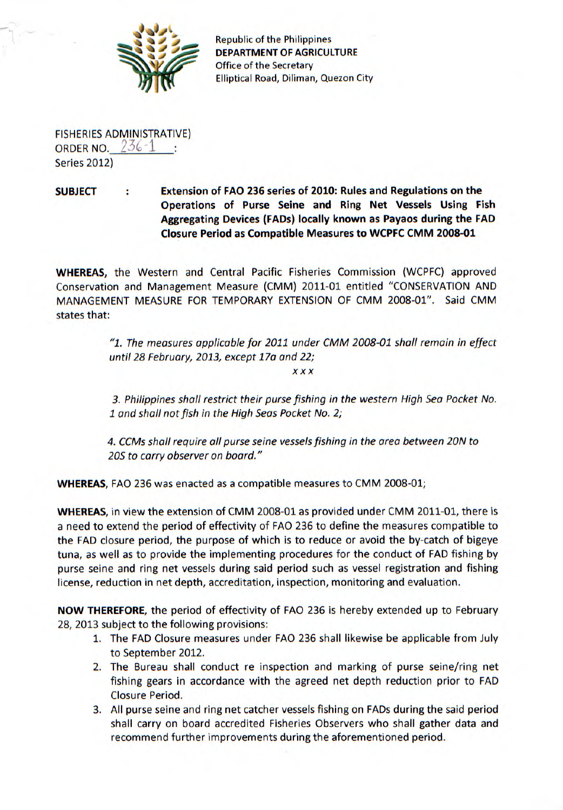

**DEPARTMENT OF AGRICULTURE**  Office of the Secretary Elliptical Road, Diliman, Quezon City

FISHERIES ADMINISTRATIVE) ORDER NO. 256-1 Series 2012)

**SUBJECT : Extension of FAO 236 series of 2010: Rules and Regulations on the Operations of Purse Seine and Ring Net Vessels Using Fish Aggregating Devices (FADs) locally known as Payaos during the FAD Closure Period as Compatible Measures to WCPFC CMM 2008-01** 

**WHEREAS,** the Western and Central Pacific Fisheries Commission (WCPFC) approved Conservation and Management Measure (CMM) 2011-01 entitled "CONSERVATION AND MANAGEMENT MEASURE FOR TEMPORARY EXTENSION OF CMM 2008-01". Said CMM states that:

> "1. The measures applicable for 2011 under CMM 2008-01 shall remain in effect until 28 February, 2013, except 17a and 22;

xxx

3. Philippines shall restrict their purse fishing in the western High Sea Pocket No. 1 and shall not fish in the High Seas Pocket No. 2;

4. CCMs shall require all purse seine vessels fishing in the area between 20N to 205 to carry observer on board."

**WHEREAS,** FAQ 236 was enacted as a compatible measures to CMM 2008-01;

**WHEREAS,** in view the extension of CMM 2008-01 as provided under CMM 2011-01, there is a need to extend the period of effectivity of FAQ 236 to define the measures compatible to the FAD closure period, the purpose of which is to reduce or avoid the by-catch of bigeye tuna, as well as to provide the implementing procedures for the conduct of FAD fishing by purse seine and ring net vessels during said period such as vessel registration and fishing license, reduction in net depth, accreditation, inspection, monitoring and evaluation.

**NOW THEREFORE,** the period of effectivity of FAQ 236 is hereby extended up to February 28, 2013 subject to the following provisions:

- 1. The FAD Closure measures under FAQ 236 shall likewise be applicable from July to September 2012.
- 2. The Bureau shall conduct re inspection and marking of purse seine/ring net fishing gears in accordance with the agreed net depth reduction prior to FAD Closure Period.
- 3. All purse seine and ring net catcher vessels fishing on FADs during the said period shall carry on board accredited Fisheries Observers who shall gather data and recommend further improvements during the aforementioned period.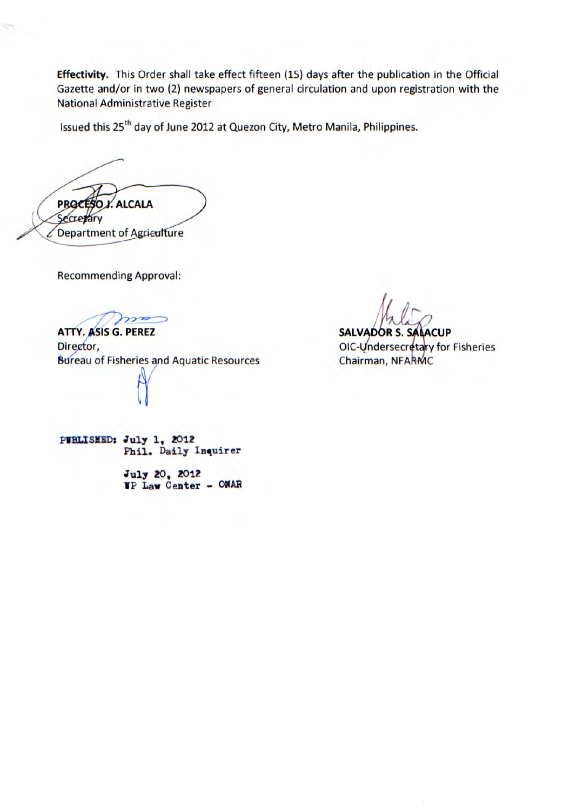**Effectivity.** This Order shall take effect fifteen (15) days after the publication in the Official Gazette and/or in two (2) newspapers of general circulation and upon registration with the National Administrative Register

Issued this 25<sup>th</sup> day of June 2012 at Quezon City, Metro Manila, Philippines.

**PROCESO J. ALCALA** Secretary Department of Agriculture

Recommending Approval:

**ATTY. ASIS G. PEREZ** 

Director, **OIC-Undersecretary for Fisheries** Bureau of Fisheries and Aquatic Resources Chairman, NFARMC

 $\sqrt{2}$ 

**SALVADOR S. SALACUP** 

**PIBLISD: July L, 2012 Phil, Daily Inquirer** 

> **July 20, 2012 VP Law Center** - **OUR**